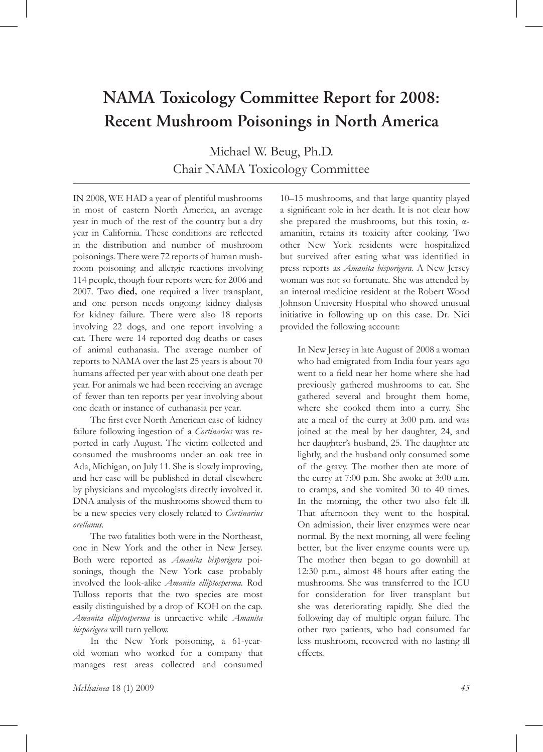# **NAMA Toxicology Committee Report for 2008: Recent Mushroom Poisonings in North America**

Michael W. Beug, Ph.D. Chair NAMA Toxicology Committee

IN 2008, WE HAD a year of plentiful mushrooms in most of eastern North America, an average year in much of the rest of the country but a dry year in California. These conditions are reflected in the distribution and number of mushroom poisonings. There were 72 reports of human mushroom poisoning and allergic reactions involving 114 people, though four reports were for 2006 and 2007. Two **died,** one required a liver transplant, and one person needs ongoing kidney dialysis for kidney failure. There were also 18 reports involving 22 dogs, and one report involving a cat. There were 14 reported dog deaths or cases of animal euthanasia. The average number of reports to NAMA over the last 25 years is about 70 humans affected per year with about one death per year. For animals we had been receiving an average of fewer than ten reports per year involving about one death or instance of euthanasia per year.

The first ever North American case of kidney failure following ingestion of a *Cortinarius* was reported in early August. The victim collected and consumed the mushrooms under an oak tree in Ada, Michigan, on July 11. She is slowly improving, and her case will be published in detail elsewhere by physicians and mycologists directly involved it. DNA analysis of the mushrooms showed them to be a new species very closely related to *Cortinarius orellanus.* 

The two fatalities both were in the Northeast, one in New York and the other in New Jersey. Both were reported as *Amanita bisporigera* poisonings, though the New York case probably involved the look-alike *Amanita elliptosperma.* Rod Tulloss reports that the two species are most easily distinguished by a drop of KOH on the cap. *Amanita elliptosperma* is unreactive while *Amanita bisporigera* will turn yellow.

In the New York poisoning, a 61-yearold woman who worked for a company that manages rest areas collected and consumed

10–15 mushrooms, and that large quantity played a significant role in her death. It is not clear how she prepared the mushrooms, but this toxin,  $\alpha$ amanitin, retains its toxicity after cooking. Two other New York residents were hospitalized but survived after eating what was identified in press reports as *Amanita bisporigera.* A New Jersey woman was not so fortunate. She was attended by an internal medicine resident at the Robert Wood Johnson University Hospital who showed unusual initiative in following up on this case. Dr. Nici provided the following account:

In New Jersey in late August of 2008 a woman who had emigrated from India four years ago went to a field near her home where she had previously gathered mushrooms to eat. She gathered several and brought them home, where she cooked them into a curry. She ate a meal of the curry at 3:00 p.m. and was joined at the meal by her daughter, 24, and her daughter's husband, 25. The daughter ate lightly, and the husband only consumed some of the gravy. The mother then ate more of the curry at 7:00 p.m. She awoke at 3:00 a.m. to cramps, and she vomited 30 to 40 times. In the morning, the other two also felt ill. That afternoon they went to the hospital. On admission, their liver enzymes were near normal. By the next morning, all were feeling better, but the liver enzyme counts were up. The mother then began to go downhill at 12:30 p.m., almost 48 hours after eating the mushrooms. She was transferred to the ICU for consideration for liver transplant but she was deteriorating rapidly. She died the following day of multiple organ failure. The other two patients, who had consumed far less mushroom, recovered with no lasting ill effects.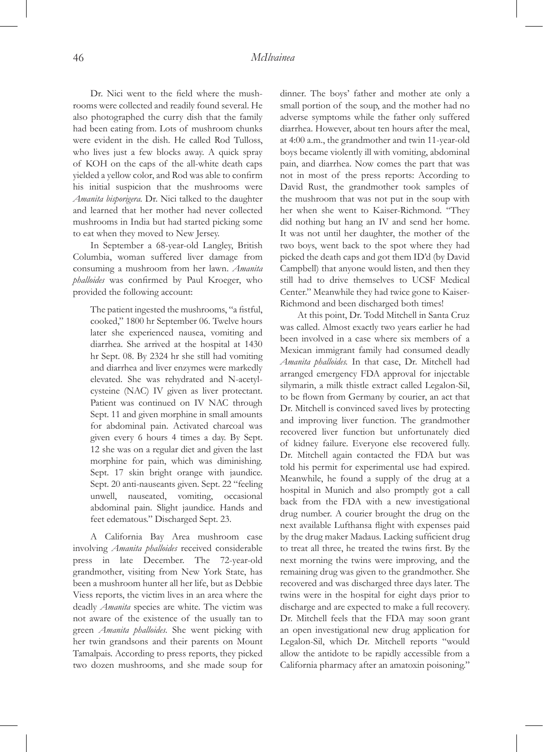Dr. Nici went to the field where the mushrooms were collected and readily found several. He also photographed the curry dish that the family had been eating from. Lots of mushroom chunks were evident in the dish. He called Rod Tulloss, who lives just a few blocks away. A quick spray of KOH on the caps of the all-white death caps yielded a yellow color, and Rod was able to confirm his initial suspicion that the mushrooms were *Amanita bisporigera.* Dr. Nici talked to the daughter and learned that her mother had never collected mushrooms in India but had started picking some to eat when they moved to New Jersey.

In September a 68-year-old Langley, British Columbia, woman suffered liver damage from consuming a mushroom from her lawn. *Amanita phalloides* was confirmed by Paul Kroeger, who provided the following account:

The patient ingested the mushrooms, "a fistful, cooked," 1800 hr September 06. Twelve hours later she experienced nausea, vomiting and diarrhea. She arrived at the hospital at 1430 hr Sept. 08. By 2324 hr she still had vomiting and diarrhea and liver enzymes were markedly elevated. She was rehydrated and N-acetylcysteine (NAC) IV given as liver protectant. Patient was continued on IV NAC through Sept. 11 and given morphine in small amounts for abdominal pain. Activated charcoal was given every 6 hours 4 times a day. By Sept. 12 she was on a regular diet and given the last morphine for pain, which was diminishing. Sept. 17 skin bright orange with jaundice. Sept. 20 anti-nauseants given. Sept. 22 "feeling unwell, nauseated, vomiting, occasional abdominal pain. Slight jaundice. Hands and feet edematous." Discharged Sept. 23.

A California Bay Area mushroom case involving *Amanita phalloides* received considerable press in late December. The 72-year-old grandmother, visiting from New York State, has been a mushroom hunter all her life, but as Debbie Viess reports, the victim lives in an area where the deadly *Amanita* species are white. The victim was not aware of the existence of the usually tan to green *Amanita phalloides*. She went picking with her twin grandsons and their parents on Mount Tamalpais. According to press reports, they picked two dozen mushrooms, and she made soup for dinner. The boys' father and mother ate only a small portion of the soup, and the mother had no adverse symptoms while the father only suffered diarrhea. However, about ten hours after the meal, at 4:00 a.m., the grandmother and twin 11-year-old boys became violently ill with vomiting, abdominal pain, and diarrhea. Now comes the part that was not in most of the press reports: According to David Rust, the grandmother took samples of the mushroom that was not put in the soup with her when she went to Kaiser-Richmond. "They did nothing but hang an IV and send her home. It was not until her daughter, the mother of the two boys, went back to the spot where they had picked the death caps and got them ID'd (by David Campbell) that anyone would listen, and then they still had to drive themselves to UCSF Medical Center." Meanwhile they had twice gone to Kaiser-Richmond and been discharged both times!

At this point, Dr. Todd Mitchell in Santa Cruz was called. Almost exactly two years earlier he had been involved in a case where six members of a Mexican immigrant family had consumed deadly *Amanita phalloides.* In that case, Dr. Mitchell had arranged emergency FDA approval for injectable silymarin, a milk thistle extract called Legalon-Sil, to be flown from Germany by courier, an act that Dr. Mitchell is convinced saved lives by protecting and improving liver function. The grandmother recovered liver function but unfortunately died of kidney failure. Everyone else recovered fully. Dr. Mitchell again contacted the FDA but was told his permit for experimental use had expired. Meanwhile, he found a supply of the drug at a hospital in Munich and also promptly got a call back from the FDA with a new investigational drug number. A courier brought the drug on the next available Lufthansa flight with expenses paid by the drug maker Madaus. Lacking sufficient drug to treat all three, he treated the twins first. By the next morning the twins were improving, and the remaining drug was given to the grandmother. She recovered and was discharged three days later. The twins were in the hospital for eight days prior to discharge and are expected to make a full recovery. Dr. Mitchell feels that the FDA may soon grant an open investigational new drug application for Legalon-Sil, which Dr. Mitchell reports "would allow the antidote to be rapidly accessible from a California pharmacy after an amatoxin poisoning."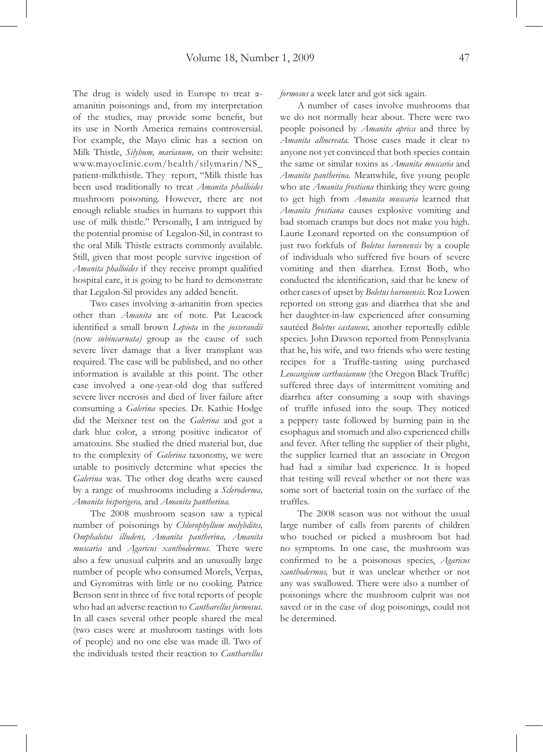The drug is widely used in Europe to treat αamanitin poisonings and, from my interpretation of the studies, may provide some benefit, but its use in North America remains controversial. For example, the Mayo clinic has a section on Milk Thistle, *Silybum, marianum,* on their website: www.mayoclinic.com/health/silymarin/NS\_ patient-milkthistle. They report, "Milk thistle has been used traditionally to treat *Amanita phalloides*  mushroom poisoning. However, there are not enough reliable studies in humans to support this use of milk thistle." Personally, I am intrigued by the potential promise of Legalon-Sil, in contrast to the oral Milk Thistle extracts commonly available. Still, given that most people survive ingestion of *Amanita phalloides* if they receive prompt qualified hospital care, it is going to be hard to demonstrate that Legalon-Sil provides any added benefit.

Two cases involving α-amanitin from species other than *Amanita* are of note. Pat Leacock identified a small brown *Lepiota* in the *josserandii*  (now *subincarnata)* group as the cause of such severe liver damage that a liver transplant was required. The case will be published, and no other information is available at this point. The other case involved a one-year-old dog that suffered severe liver necrosis and died of liver failure after consuming a *Galerina* species. Dr. Kathie Hodge did the Meixner test on the *Galerina* and got a dark blue color, a strong positive indicator of amatoxins. She studied the dried material but, due to the complexity of *Galerina* taxonomy, we were unable to positively determine what species the *Galerina* was. The other dog deaths were caused by a range of mushrooms including a *Scleroderma, Amanita bisporigera,* and *Amanita pantherina.*

The 2008 mushroom season saw a typical number of poisonings by *Chlorophyllum molybdites, Omphalotus illudens, Amanita pantherina, Amanita muscaria* and *Agaricus xanthodermus.* There were also a few unusual culprits and an unusually large number of people who consumed Morels, Verpas, and Gyromitras with little or no cooking. Patrice Benson sent in three of five total reports of people who had an adverse reaction to *Cantharellus formosus.*  In all cases several other people shared the meal (two cases were at mushroom tastings with lots of people) and no one else was made ill. Two of the individuals tested their reaction to *Cantharellus*  *formosus* a week later and got sick again.

A number of cases involve mushrooms that we do not normally hear about. There were two people poisoned by *Amanita aprica* and three by *Amanita albocreata.* Those cases made it clear to anyone not yet convinced that both species contain the same or similar toxins as *Amanita muscaria* and *Amanita pantherina.* Meanwhile, five young people who ate *Amanita frostiana* thinking they were going to get high from *Amanita muscaria* learned that *Amanita frostiana* causes explosive vomiting and bad stomach cramps but does not make you high. Laurie Leonard reported on the consumption of just two forkfuls of *Boletus huronensis* by a couple of individuals who suffered five hours of severe vomiting and then diarrhea. Ernst Both, who conducted the identification, said that he knew of other cases of upset by *Boletus huronensis.* Roz Lowen reported on strong gas and diarrhea that she and her daughter-in-law experienced after consuming sautéed *Boletus castaneus,* another reportedly edible species. John Dawson reported from Pennsylvania that he, his wife, and two friends who were testing recipes for a Truffle-tasting using purchased *Leucangium carthusianum* (the Oregon Black Truffle) suffered three days of intermittent vomiting and diarrhea after consuming a soup with shavings of truffle infused into the soup. They noticed a peppery taste followed by burning pain in the esophagus and stomach and also experienced chills and fever. After telling the supplier of their plight, the supplier learned that an associate in Oregon had had a similar bad experience. It is hoped that testing will reveal whether or not there was some sort of bacterial toxin on the surface of the truffles.

The 2008 season was not without the usual large number of calls from parents of children who touched or picked a mushroom but had no symptoms. In one case, the mushroom was confirmed to be a poisonous species, *Agaricus xanthodermus,* but it was unclear whether or not any was swallowed. There were also a number of poisonings where the mushroom culprit was not saved or in the case of dog poisonings, could not be determined.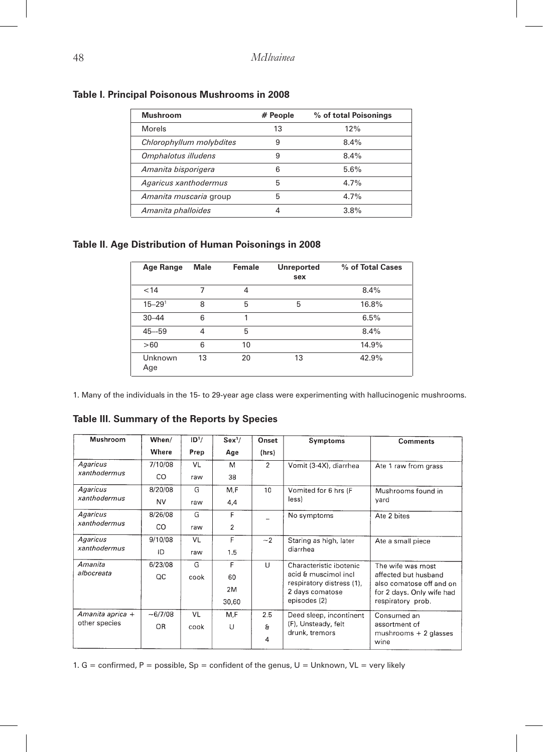| <b>Mushroom</b>          | # People | % of total Poisonings |
|--------------------------|----------|-----------------------|
| Morels                   | 13       | 12%                   |
| Chlorophyllum molybdites | 9        | 8.4%                  |
| Omphalotus illudens      | 9        | $8.4\%$               |
| Amanita bisporigera      | 6        | 5.6%                  |
| Agaricus xanthodermus    | 5        | $4.7\%$               |
| Amanita muscaria group   | 5        | 4.7%                  |
| Amanita phalloides       | 4        | $3.8\%$               |

#### **Table I. Principal Poisonous Mushrooms in 2008**

#### **Table II. Age Distribution of Human Poisonings in 2008**

| Age Range      | <b>Male</b> | Female | <b>Unreported</b><br>sex | % of Total Cases |
|----------------|-------------|--------|--------------------------|------------------|
| < 14           |             | 4      |                          | 8.4%             |
| $15 - 291$     | 8           | 5      | 5                        | 16.8%            |
| $30 - 44$      | 6           | 1      |                          | 6.5%             |
| $45 - 59$      | 4           | 5      |                          | 8.4%             |
| >60            | 6           | 10     |                          | 14.9%            |
| Unknown<br>Age | 13          | 20     | 13                       | 42.9%            |

1. Many of the individuals in the 15- to 29-year age class were experimenting with hallucinogenic mushrooms.

| Mushroom                          | When/     | ID <sup>1</sup> / | Sex <sup>1</sup> / | Onset          | Symptoms                                     | <b>Comments</b>                                       |
|-----------------------------------|-----------|-------------------|--------------------|----------------|----------------------------------------------|-------------------------------------------------------|
|                                   | Where     | Prep              | Age                | (hrs)          |                                              |                                                       |
| Agaricus                          | 7/10/08   | VL                | M                  | $\overline{2}$ | Vomit (3-4X), diarrhea                       | Ate 1 raw from grass                                  |
| xanthodermus                      | CO        | raw               | 38                 |                |                                              |                                                       |
| Agaricus                          | 8/20/08   | G                 | M.F                | 10             | Vomited for 6 hrs (F                         | Mushrooms found in                                    |
| xanthodermus                      | <b>NV</b> | raw               | 4,4                |                | less)                                        | vard                                                  |
| Agaricus                          | 8/26/08   | G                 | F                  |                | No symptoms                                  | Ate 2 bites                                           |
| xanthodermus                      | CO        | raw               | $\overline{c}$     |                |                                              |                                                       |
| Agaricus                          | 9/10/08   | VL                | F                  | $-2$           | Staring as high, later                       | Ate a small piece                                     |
| xanthodermus                      | ID        | raw               | 1.5                |                | diarrhea                                     |                                                       |
| Amanita                           | 6/23/08   | G                 | F                  | U              | Characteristic ibotenic                      | The wife was most                                     |
| albocreata                        | $\alpha$  | cook              | 60                 |                | acid & muscimol incl                         | affected but husband                                  |
|                                   |           |                   | 2M                 |                | respiratory distress (1),<br>2 days comatose | also comatose off and on<br>for 2 days. Only wife had |
|                                   |           |                   | 30,60              |                | episodes (2)                                 | respiratory prob.                                     |
| Amanita aprica +<br>other species | $-6/7/08$ | VL                | M.F                | 2.5            | Deed sleep, incontinent                      | Consumed an                                           |
|                                   | OR.       | cook              | U                  | $\mathbf{a}$   | (F), Unsteady, felt                          | assortment of                                         |
|                                   |           |                   |                    | 4              | drunk, tremors                               | mushrooms $+2$ glasses<br>wine                        |

**Table III. Summary of the Reports by Species**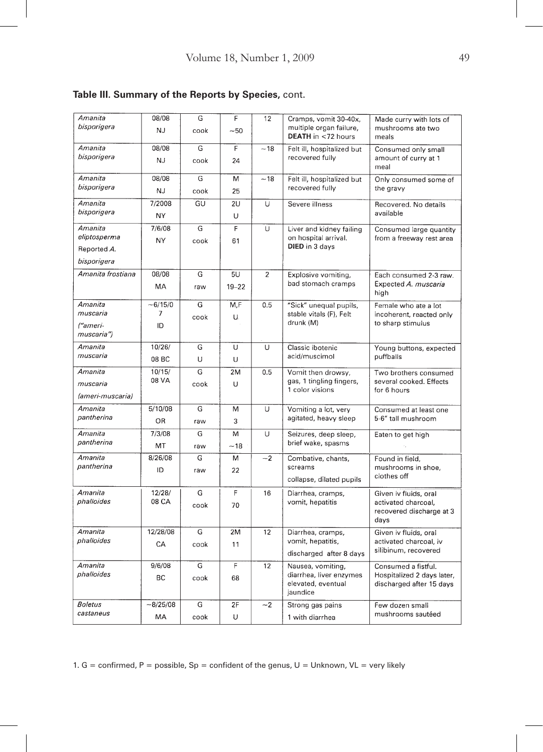| Amanita<br>bisporigera                                | 08/08<br>NJ.         | G<br>cook | F<br>$-50$      | 12             | Cramps, vomit 30-40x,<br>multiple organ failure,<br>DEATH in <72 hours         | Made curry with lots of<br>mushrooms ate two<br>meals                            |
|-------------------------------------------------------|----------------------|-----------|-----------------|----------------|--------------------------------------------------------------------------------|----------------------------------------------------------------------------------|
| Amanita<br>bisporigera                                | 08/08<br>NJ          | G<br>cook | F<br>24         | $-18$          | Felt ill, hospitalized but<br>recovered fully                                  | Consumed only small<br>amount of curry at 1<br>meal                              |
| Amanita<br>bisporigera                                | 08/08<br>NJ          | G<br>cook | M<br>25         | ~18            | Felt ill, hospitalized but<br>recovered fully                                  | Only consumed some of<br>the gravy                                               |
| Amanita<br>bisporigera                                | 7/2008<br>NΥ         | GU        | 2U<br>U         | U              | Severe illness                                                                 | Recovered. No details<br>available                                               |
| Amanita<br>eliptosperma<br>Reported A.<br>bisporigera | 7/6/08<br>NY         | G<br>cook | F<br>61         | U              | Liver and kidney failing<br>on hospital arrival.<br>DIED in 3 days             | Consumed large quantity<br>from a freeway rest area                              |
| Amanita frostiana                                     | 08/08<br>МA          | G<br>raw  | 5U<br>$19 - 22$ | $\overline{2}$ | Explosive vomiting,<br>bad stomach cramps                                      | Each consumed 2-3 raw.<br>Expected A. muscaria<br>high                           |
| Amanita<br>muscaria<br>("ameri-<br>muscaria")         | $-6/15/0$<br>7<br>ID | G<br>cook | M,F<br>U.       | 0.5            | "Sick" unequal pupils,<br>stable vitals (F), Felt<br>drunk (M)                 | Female who ate a lot<br>incoherent, reacted only<br>to sharp stimulus            |
| Amanita<br>muscaria                                   | 10/26/<br>08 BC      | G<br>U    | U<br>U          | Ü              | Classic ibotenic<br>acid/muscimol                                              | Young buttons, expected<br>puffballs                                             |
| Amanita<br>muscaria<br>(ameri-muscaria)               | 10/15/<br>08 VA      | G<br>cook | 2M<br>U         | 0.5            | Vomit then drowsy,<br>gas, 1 tingling fingers,<br>1 color visions              | Two brothers consumed<br>several cooked. Effects<br>for 6 hours                  |
| Amanita<br>pantherina                                 | 5/10/08<br>OR        | G<br>raw  | M<br>3          | Ü              | Vomiting a lot, very<br>agitated, heavy sleep                                  | Consumed at least one<br>5-6" tall mushroom                                      |
| Amanita<br>pantherina                                 | 7/3/08<br>MT         | G<br>raw  | M<br>~18        | U              | Seizures, deep sleep,<br>brief wake, spasms                                    | Eaten to get high                                                                |
| Amanita<br>pantherina                                 | 8/26/08<br>ID        | G<br>raw  | М<br>22         | $-2$           | Combative, chants,<br>screams<br>collapse, dilated pupils                      | Found in field,<br>mushrooms in shoe,<br>clothes off                             |
| Amanita<br>phalloides                                 | 12/28/<br>08 CA      | G<br>cook | F<br>70         | 16             | Diarrhea, cramps,<br>vomit, hepatitis                                          | Given iv fluids, oral<br>activated charcoal.<br>recovered discharge at 3<br>days |
| Amanita<br>phalloides                                 | 12/28/08<br>CA       | G<br>cook | 2M<br>11        | 12             | Diarrhea, cramps,<br>vomit, hepatitis,<br>discharged after 8 days              | Given iv fluids, oral<br>activated charcoal, iv<br>silibinum, recovered          |
| Amanita<br>phalloides                                 | 9/6/08<br>BC.        | G<br>cook | F<br>68         | 12             | Nausea, vomiting,<br>diarrhea, liver enzymes<br>elevated, eventual<br>jaundice | Consumed a fistful.<br>Hospitalized 2 days later,<br>discharged after 15 days    |
| Boletus<br>castaneus                                  | $-8/25/08$<br>МA     | G<br>cook | 2F<br>U         | $-2$           | Strong gas pains<br>1 with diarrhea                                            | Few dozen small<br>mushrooms sautéed                                             |

## **Table III. Summary of the Reports by Species,** cont.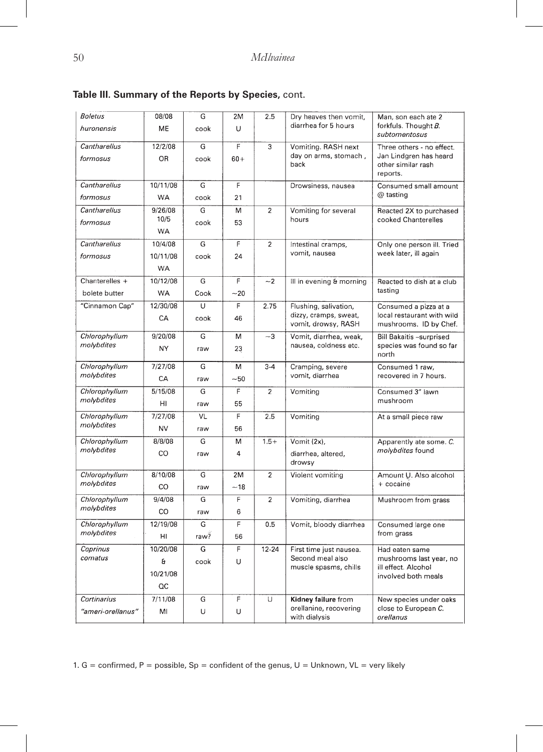| <b>Boletus</b><br>huronensis | 08/08<br>ME | G<br>cook | 2M<br>U        | 2.5            | Dry heaves then vomit,<br>diarrhea for 5 hours | Man, son each ate 2<br>forkfuls. Thought B.              |
|------------------------------|-------------|-----------|----------------|----------------|------------------------------------------------|----------------------------------------------------------|
|                              |             |           |                |                |                                                | subtomentosus                                            |
| Cantharellus                 | 12/2/08     | G         | F              | 3              | Vomiting. RASH next                            | Three others - no effect.                                |
| formosus                     | OR.         | cook      | $60+$          |                | day on arms, stomach,<br>back                  | Jan Lindgren has heard<br>other similar rash<br>reports. |
| Cantharellus                 | 10/11/08    | G         | F              |                | Drowsiness, nausea                             | Consumed small amount                                    |
| formosus                     | <b>WA</b>   | cook      | 21             |                |                                                | @ tasting                                                |
| Cantharellus                 | 9/26/08     | G         | M              | $\overline{2}$ | Vomiting for several                           | Reacted 2X to purchased                                  |
| formosus                     | 10/5        | cook      | 53             |                | hours                                          | cooked Chanterelles                                      |
|                              | <b>WA</b>   |           |                |                |                                                |                                                          |
| Cantharellus                 | 10/4/08     | G         | F              | $\overline{c}$ | Intestinal cramps,                             | Only one person ill. Tried                               |
| formosus                     | 10/11/08    | cook      | 24             |                | vomit, nausea                                  | week later, ill again                                    |
|                              | <b>WA</b>   |           |                |                |                                                |                                                          |
| Chanterelles +               | 10/12/08    | G         | F              | $-2$           | Ill in evening & morning                       | Reacted to dish at a club                                |
| bolete butter                | <b>WA</b>   | Cook      | $-20$          |                |                                                | tasting                                                  |
| "Cinnamon Cap"               | 12/30/08    | U         | F              | 2.75           | Flushing, salivation,                          | Consumed a pizza at a                                    |
|                              | СA          | cook      | 46             |                | dizzy, cramps, sweat,<br>vomit, drowsy, RASH   | local restaurant with wild<br>mushrooms. ID by Chef.     |
| Chlorophyllum                | 9/20/08     | G         | М              | $-3$           | Vomit, diarrhea, weak,                         | <b>Bill Bakaitis -surprised</b>                          |
| molybdites                   | <b>NY</b>   | raw       | 23             |                | nausea, coldness etc.                          | species was found so far<br>north                        |
| Chlorophyllum                | 7/27/08     | G         | м              | $3-4$          | Cramping, severe                               | Consumed 1 raw,                                          |
| molybdites                   | CA          | raw       | $-50$          |                | vomit, diarrhea                                | recovered in 7 hours.                                    |
| Chlorophyllum                | 5/15/08     | G         | $\overline{F}$ | $\overline{2}$ | Vomiting                                       | Consumed 3" lawn                                         |
| molybdites                   | HI          | raw       | 55             |                |                                                | mushroom                                                 |
| Chlorophyllum                | 7/27/08     | VL        | F              | 2.5            | Vomiting                                       | At a small piece raw                                     |
| molybdites                   | NV          | raw       | 56             |                |                                                |                                                          |
| Chlorophyllum                | 8/8/08      | G         | M              | $1.5+$         | Vomit (2x),                                    | Apparently ate some. C.                                  |
| molybdites                   | CO.         | raw       | 4              |                | diarrhea, altered,                             | molybdites found                                         |
|                              |             |           |                |                | drowsy                                         |                                                          |
| Chlorophyllum                | 8/10/08     | G         | 2M             | $\overline{c}$ | Violent vomiting                               | Amount U. Also alcohol                                   |
| molybdites                   | CO          | raw       | $-18$          |                |                                                | + cocaine                                                |
| Chlorophyllum                | 9/4/08      | G         | F              | $\overline{c}$ | Vomiting, diarrhea                             | Mushroom from grass                                      |
| molybdites                   | CO          | raw       | 6              |                |                                                |                                                          |
| Chlorophyllum                | 12/19/08    | G         | F              | 0.5            | Vomit, bloody diarrhea                         | Consumed large one                                       |
| molybdites                   | HI          | raw?      | 56             |                |                                                | from grass                                               |
| Coprinus                     | 10/20/08    | G         | F              | 12-24          | First time just nausea.                        | Had eaten same                                           |
| comatus                      | a           | cook      | U              |                | Second meal also<br>muscle spasms, chills      | mushrooms last year, no<br>ill effect. Alcohol           |
|                              | 10/21/08    |           |                |                |                                                | involved both meals                                      |
|                              | QC          |           |                |                |                                                |                                                          |
| Cortinarius                  | 7/11/08     | G         | F              | U              | Kidney failure from                            | New species under oaks                                   |
| "ameri-orellanus"            | MI          | U         | U              |                | orellanine, recovering<br>with dialysis        | close to European C.<br>orellanus                        |

|  | Table III. Summary of the Reports by Species, cont. |  |  |  |  |  |
|--|-----------------------------------------------------|--|--|--|--|--|
|--|-----------------------------------------------------|--|--|--|--|--|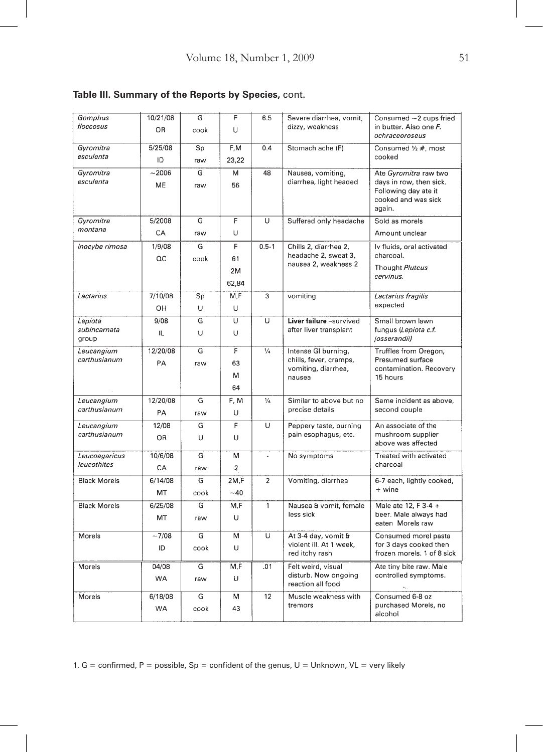| Gomphus                      | 10/21/08  | G                       | F                       | 6.5            | Severe diarrhea, vomit,                        | Consumed ~2 cups fried                         |
|------------------------------|-----------|-------------------------|-------------------------|----------------|------------------------------------------------|------------------------------------------------|
| floccosus                    | OR.       |                         | U                       |                | dizzy, weakness                                | in butter. Also one F.                         |
|                              |           | cook                    |                         |                |                                                | ochraceoroseus                                 |
| Gyromitra                    | 5/25/08   | Sp                      | F,M                     | 0.4            | Stomach ache (F)                               | Consumed 1/2 #, most                           |
| esculenta                    | ID        | raw                     | 23,22                   |                |                                                | cooked                                         |
| Gyromitra                    | $-2006$   | G                       | M                       | 48             | Nausea, vomiting,                              | Ate <i>Gyromitra</i> raw two                   |
| esculenta                    | <b>ME</b> | raw                     | 56                      |                | diarrhea, light headed                         | days in row, then sick.                        |
|                              |           |                         |                         |                |                                                | Following day ate it                           |
|                              |           |                         |                         |                |                                                | cooked and was sick<br>again.                  |
| Gyromitra                    | 5/2008    | G                       | F                       | Ü              | Suffered only headache                         | Sold as morels                                 |
| montana                      |           |                         | U                       |                |                                                |                                                |
|                              | CA        | raw                     |                         |                |                                                | Amount unclear                                 |
| Inocybe rimosa               | 1/9/08    | G                       | F.                      | $0.5 - 1$      | Chills 2, diarrhea 2,<br>headache 2, sweat 3,  | Iv fluids, oral activated<br>charcoal.         |
|                              | QC        | cook                    | 61                      |                | nausea 2, weakness 2                           |                                                |
|                              |           |                         | 2M                      |                |                                                | Thought Pluteus<br>cervinus.                   |
|                              |           |                         | 62,84                   |                |                                                |                                                |
| Lactarius                    | 7/10/08   | Sp                      | M.F                     | 3              | vomiting                                       | Lactarius fragilis                             |
|                              | OH        | U                       | U                       |                |                                                | expected                                       |
| Lepiota                      | 9/08      | $\overline{\mathsf{G}}$ | $\overline{\mathsf{u}}$ | $\overline{u}$ | Liver failure -survived                        | Small brown lawn                               |
| subincarnata                 | IL        | U                       | Ü                       |                | after liver transplant                         | fungus (Lepiota c.f.                           |
| group                        |           |                         |                         |                |                                                | josserandii)                                   |
| Leucangium<br>carthusianum   | 12/20/08  | G                       | F                       | $\frac{1}{4}$  | Intense GI burning,<br>chills, fever, cramps,  | Truffles from Oregon,<br>Presumed surface      |
|                              | PA        | raw                     | 63                      |                | vomiting, diarrhea,                            | contamination. Recovery                        |
|                              |           |                         | м                       |                | nausea                                         | 15 hours                                       |
|                              |           |                         | 64                      |                |                                                |                                                |
| Leucangium                   | 12/20/08  | G                       | F, M                    | $\frac{1}{4}$  | Similar to above but no                        | Same incident as above,                        |
| carthusianum                 | PA        | raw                     | U                       |                | precise details                                | second couple                                  |
| Leucangium                   | 12/08     | G                       | F                       | $\cup$         | Peppery taste, burning                         | An associate of the                            |
| carthusianum                 | OR.       | U                       | U                       |                | pain esophagus, etc.                           | mushroom supplier                              |
|                              |           |                         |                         |                |                                                | above was affected                             |
| Leucoagaricus<br>leucothites | 10/6/08   | G                       | M                       | ÷,             | No symptoms                                    | Treated with activated                         |
|                              | CA        | raw                     | $\overline{\mathbf{c}}$ |                |                                                | charcoal                                       |
| <b>Black Morels</b>          | 6/14/08   | G                       | 2M.F                    | $\overline{2}$ | Vomiting, diarrhea                             | 6-7 each, lightly cooked,                      |
|                              | MT        | cook                    | $-40$                   |                |                                                | + wine                                         |
| <b>Black Morels</b>          | 6/25/08   | G.                      | M,F                     | $\mathbf{1}$   | Nausea & vomit, female                         | Male ate 12, F 3-4 +                           |
|                              | MT        | raw                     | U                       |                | less sick                                      | beer. Male always had<br>eaten Morels raw      |
|                              |           |                         |                         |                |                                                |                                                |
| Morels                       | $-7/08$   | G                       | M                       | U              | At 3-4 day, vomit &<br>violent ill. At 1 week, | Consumed morel pasta<br>for 3 days cooked then |
|                              | ID        | cook                    | U                       |                | red itchy rash                                 | frozen morels. 1 of 8 sick                     |
| Morels                       | 04/08     | G                       | M,F                     | .01            | Felt weird, visual                             | Ate tiny bite raw. Male                        |
|                              | <b>WA</b> | raw                     | U                       |                | disturb. Now ongoing                           | controlled symptoms.                           |
|                              |           |                         |                         |                | reaction all food                              |                                                |
| Morels                       | 6/18/08   | G                       | М                       | 12             | Muscle weakness with<br>tremors                | Consumed 6-8 oz<br>purchased Morels, no        |
|                              | <b>WA</b> | cook                    | 43                      |                |                                                | alcohol                                        |

## **Table III. Summary of the Reports by Species,** cont.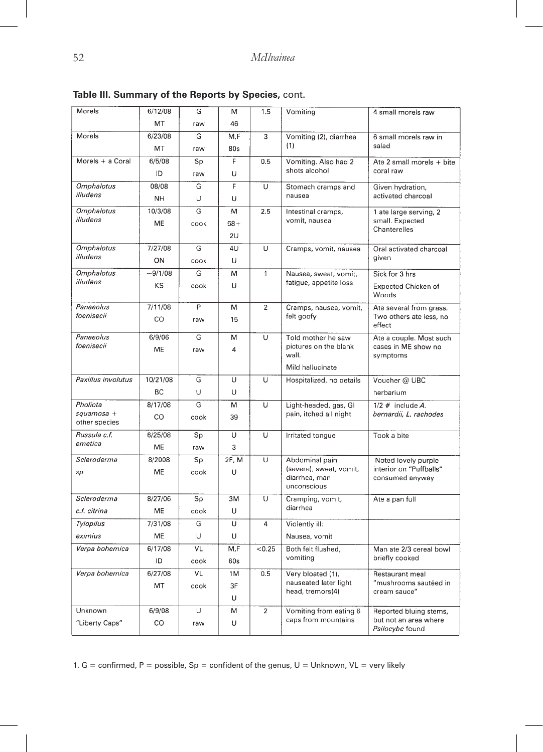| Morels                      | 6/12/08   | G    | M     | 1.5              | Vomiting                                  | 4 small morels raw                             |
|-----------------------------|-----------|------|-------|------------------|-------------------------------------------|------------------------------------------------|
|                             | MT        | raw  | 46    |                  |                                           |                                                |
| Morels                      | 6/23/08   | G    | M.F   | 3                | Vomiting (2), diarrhea                    | 6 small morels raw in                          |
|                             | МT        | raw  | 80s   |                  | (1)                                       | salad                                          |
| Morels + a Coral            | 6/5/08    | Sp   | F     | 0.5              | Vomiting. Also had 2                      | Ate 2 small morels + bite                      |
|                             | ID        | raw  | U     |                  | shots alcohol                             | coral raw                                      |
| <b>Omphalotus</b>           | 08/08     | G    | F     | U                | Stomach cramps and                        | Given hydration,                               |
| illudens                    | <b>NH</b> | U    | U     |                  | nausea                                    | activated charcoal                             |
| <b>Omphalotus</b>           | 10/3/08   | G    | M     | 2.5              | Intestinal cramps.                        | 1 ate large serving, 2                         |
| illudens                    | <b>ME</b> | cook | 58+   |                  | vomit, nausea                             | small. Expected<br>Chanterelles                |
|                             |           |      | 2U    |                  |                                           |                                                |
| <b>Omphalotus</b>           | 7/27/08   | G    | 4U    | U                | Cramps, vomit, nausea                     | Oral activated charcoal                        |
| illudens                    | ON        | cook | U     |                  |                                           | given                                          |
| <b>Omphalotus</b>           | $-9/1/08$ | G    | M     | 1                | Nausea, sweat, vomit,                     | Sick for 3 hrs                                 |
| illudens                    | KS        | cook | U     |                  | fatigue, appetite loss                    | <b>Expected Chicken of</b>                     |
|                             |           |      |       |                  |                                           | Woods                                          |
| Panaeolus                   | 7/11/08   | P    | M     | $\overline{2}$   | Cramps, nausea, vomit,                    | Ate several from grass.                        |
| foenisecii                  | CO        | raw  | 15    |                  | felt goofy                                | Two others ate less, no<br>effect              |
| Panaeolus                   | 6/9/06    | G    | M     | U                | Told mother he saw                        | Ate a couple. Most such                        |
| foenisecii                  | ME        | raw  | 4     |                  | pictures on the blank<br>wall.            | cases in ME show no<br>symptoms                |
|                             |           |      |       |                  | Mild hallucinate                          |                                                |
| Paxillus involutus          | 10/21/08  | G    | U     | Ü                | Hospitalized, no details                  | Voucher @ UBC                                  |
|                             | ВC        | U    | U     |                  |                                           | herbarium                                      |
| Pholiota                    | 8/17/08   | G    | M     | U                | Light-headed, gas, GI                     | $1/2$ # include A.                             |
| squamosa +<br>other species | CO        | cook | 39    |                  | pain, itched all night                    | bernardii, L. rachodes                         |
| Russula c.f.                | 6/25/08   | Sp   | U     | U                | Irritated tongue                          | Took a bite                                    |
| emetica                     | ME        |      | 3     |                  |                                           |                                                |
|                             |           | raw  |       |                  |                                           |                                                |
| Scleroderma                 | 8/2008    | Sp   | 2F, M | U                | Abdominal pain<br>(severe), sweat, vomit, | Noted lovely purple<br>interior on "Puffballs" |
| sρ                          | ME        | cook | U     |                  | diarrhea, man                             | consumed anyway                                |
|                             |           |      |       |                  | unconscious                               |                                                |
| Scleroderma                 | 8/27/06   | Sp   | 3M    | U                | Cramping, vomit,<br>diarrhea              | Ate a pan full                                 |
| c.f. citrina                | ME        | cook | U     |                  |                                           |                                                |
| Tylopilus                   | 7/31/08   | G    | U     | 4                | Violently ill:                            |                                                |
| eximius                     | ME        | U    | U     |                  | Nausea, vomit                             |                                                |
| Verpa bohemica              | 6/17/08   | VL   | M,F   | < 0.25           | Both felt flushed,<br>vomiting            | Man ate 2/3 cereal bowl                        |
|                             | ID        | cook | 60s   |                  |                                           | briefly cooked                                 |
| Verpa bohemica              | 6/27/08   | VL   | 1M    | 0.5              | Very bloated (1),                         | Restaurant meal                                |
|                             | MT        | cook | 3F    |                  | nauseated later light<br>head, tremors(4) | "mushrooms sautéed in<br>cream sauce"          |
|                             |           |      | U     |                  |                                           |                                                |
| Unknown                     | 6/9/08    | U    | M     | $\boldsymbol{2}$ | Vomiting from eating 6                    | Reported bluing stems,                         |
| "Liberty Caps"              | CO        | raw  | U     |                  | caps from mountains                       | but not an area where<br>Psilocybe found       |

**Table III. Summary of the Reports by Species,** cont.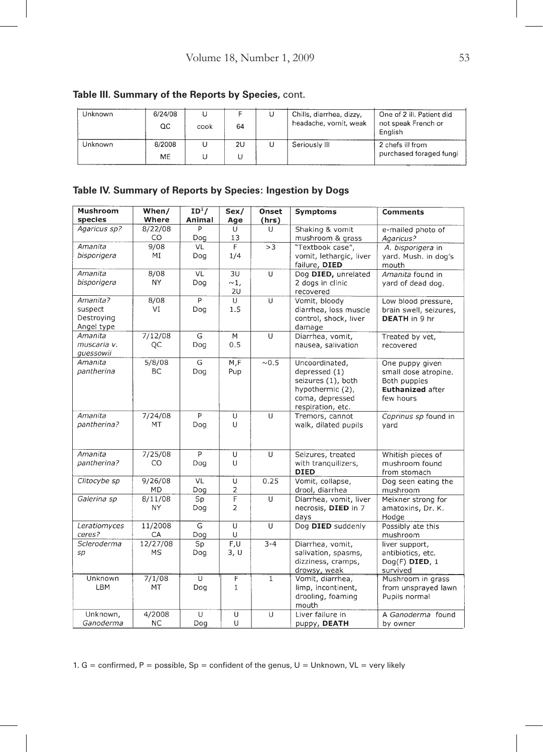| Unknown | 6/24/08<br>QC | cook | 64 | Chills, diarrhea, dizzy,<br>headache, vomit, weak | One of 2 ill. Patient did<br>not speak French or<br>English |
|---------|---------------|------|----|---------------------------------------------------|-------------------------------------------------------------|
| Unknown | 8/2008<br>ME. |      | 2U | Seriously III                                     | 2 chefs ill from<br>purchased foraged fungi                 |

#### **Table III. Summary of the Reports by Species,** cont.

## **Table IV. Summary of Reports by Species: Ingestion by Dogs**

| <b>Mushroom</b> | When/     | $ID^1/$        | Sex/           | Onset          | <b>Symptoms</b>         | <b>Comments</b>         |
|-----------------|-----------|----------------|----------------|----------------|-------------------------|-------------------------|
| species         | Where     | Animal         | Age            | (hrs)          |                         |                         |
| Agaricus sp?    | 8/22/08   | P              | U              | $\cup$         | Shaking & vomit         | e-mailed photo of       |
|                 | CO        | Dog            | 13             |                | mushroom & grass        | Agaricus?               |
| Amanita         | 9/08      | VL             | $\overline{F}$ | >3             | "Textbook case",        | A. bisporigera in       |
| bisporigera     | МI        | Dog            | 1/4            |                | vomit, lethargic, liver | yard. Mush. in dog's    |
|                 |           |                |                |                | failure, DIED           | mouth                   |
| Amanita         | 8/08      | VL             | 3U             | U              | Dog DIED, unrelated     | Amanita found in        |
| bisporigera     | <b>NY</b> | Dog            | $\sim$ 1,      |                | 2 dogs in clinic        | yard of dead dog.       |
|                 |           |                | 2U             |                | recovered               |                         |
| Amanita?        | 8/08      | $\overline{P}$ | U              | $\overline{U}$ | Vomit, bloody           | Low blood pressure,     |
| suspect         | VI        | Dog            | 1.5            |                | diarrhea, loss muscle   | brain swell, seizures,  |
| Destroying      |           |                |                |                | control, shock, liver   | <b>DEATH</b> in 9 hr    |
| Angel type      |           |                |                |                | damage                  |                         |
| Amanita         | 7/12/08   | G              | M              | U              | Diarrhea, vomit,        | Treated by vet,         |
| muscaria v.     | QC        | Dog            | 0.5            |                | nausea, salivation      | recovered               |
| quessowii       |           |                |                |                |                         |                         |
| Amanita         | 5/8/08    | G              | M, F           | ~0.5           | Uncoordinated,          | One puppy given         |
| pantherina      | <b>BC</b> | Dog            | Pup            |                | depressed (1)           | small dose atropine.    |
|                 |           |                |                |                | seizures (1), both      | Both puppies            |
|                 |           |                |                |                | hypothermic (2),        | <b>Euthanized after</b> |
|                 |           |                |                |                | coma, depressed         | few hours               |
|                 |           |                |                |                | respiration, etc.       |                         |
| Amanita         | 7/24/08   | P              | U              | U              | Tremors, cannot         | Coprinus sp found in    |
| pantherina?     | MT        | Dog            | U              |                | walk, dilated pupils    | yard                    |
|                 |           |                |                |                |                         |                         |
|                 |           |                |                |                |                         |                         |
| Amanita         | 7/25/08   | P              | U              | U              | Seizures, treated       | Whitish pieces of       |
| pantherina?     | CO        | Dog            | U              |                | with tranquilizers,     | mushroom found          |
|                 |           |                |                |                | <b>DIED</b>             | from stomach            |
| Clitocybe sp    | 9/26/08   | VL             | U              | 0.25           | Vomit, collapse,        | Dog seen eating the     |
|                 | <b>MD</b> | Dog            | $\overline{2}$ |                | drool, diarrhea         | mushroom                |
| Galerina sp     | 8/11/08   | Sp             | F              | U              | Diarrhea, vomit, liver  | Meixner strong for      |
|                 | <b>NY</b> | Dog            | $\overline{2}$ |                | necrosis, DIED in 7     | amatoxins, Dr. K.       |
|                 |           |                |                |                | days                    | Hodge                   |
| Leratiomyces    | 11/2008   | G              | U              | U              | Dog DIED suddenly       | Possibly ate this       |
| ceres?          | CA        | Dog            | U              |                |                         | mushroom                |
| Scleroderma     | 12/27/08  | Sp             | F,U            | $3 - 4$        | Diarrhea, vomit,        | liver support,          |
| sp              | <b>MS</b> | Dog            | 3, U           |                | salivation, spasms,     | antibiotics, etc.       |
|                 |           |                |                |                | dizziness, cramps,      | Dog(F) DIED, 1          |
|                 |           |                |                |                | drowsy, weak            | survived                |
| Unknown         | 7/1/08    | U              | F              | $\mathbf{1}$   | Vomit, diarrhea,        | Mushroom in grass       |
| LBM             | MT        | Dog            | $\mathbf{1}$   |                | limp, incontinent,      | from unsprayed lawn     |
|                 |           |                |                |                | drooling, foaming       | Pupils normal           |
|                 |           |                |                |                | mouth                   |                         |
| Unknown,        | 4/2008    | $\cup$         | $\overline{U}$ | $\overline{U}$ | Liver failure in        | A Ganoderma found       |
| Ganoderma       | <b>NC</b> | Dog            | U              |                | puppy, DEATH            | by owner                |
|                 |           |                |                |                |                         |                         |